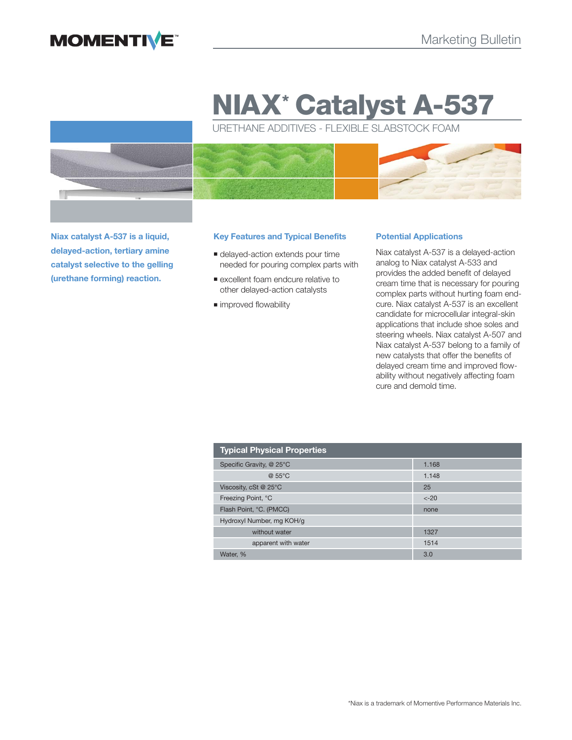

# **NIAX\* Catalyst A-537**

URETHANE ADDITIVES - FLEXIBLE SLABSTOCK FOAM



**Niax catalyst A-537 is a liquid, delayed-action, tertiary amine catalyst selective to the gelling (urethane forming) reaction.** 

#### **Key Features and Typical Benefits**

- **delayed-action extends pour time** needed for pouring complex parts with
- excellent foam endcure relative to other delayed-action catalysts
- $\blacksquare$  improved flowability

#### **Potential Applications**

Niax catalyst A-537 is a delayed-action analog to Niax catalyst A-533 and provides the added benefit of delayed cream time that is necessary for pouring complex parts without hurting foam endcure. Niax catalyst A-537 is an excellent candidate for microcellular integral-skin applications that include shoe soles and steering wheels. Niax catalyst A-507 and Niax catalyst A-537 belong to a family of new catalysts that offer the benefits of delayed cream time and improved flowability without negatively affecting foam cure and demold time.

| <b>Typical Physical Properties</b> |        |
|------------------------------------|--------|
| Specific Gravity, @ 25°C           | 1.168  |
| @ 55°C                             | 1.148  |
| Viscosity, cSt @ 25°C              | 25     |
| Freezing Point, °C                 | $<-20$ |
| Flash Point, °C. (PMCC)            | none   |
| Hydroxyl Number, mg KOH/g          |        |
| without water                      | 1327   |
| apparent with water                | 1514   |
| Water. %                           | 3.0    |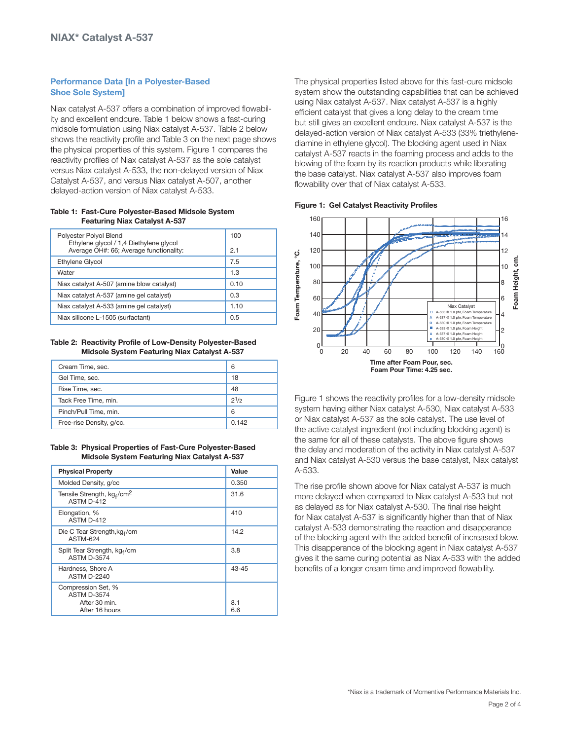## **Performance Data [In a Polyester-Based Shoe Sole System]**

Niax catalyst A-537 offers a combination of improved flowability and excellent endcure. Table 1 below shows a fast-curing midsole formulation using Niax catalyst A-537. Table 2 below shows the reactivity profile and Table 3 on the next page shows the physical properties of this system. Figure 1 compares the reactivity profiles of Niax catalyst A-537 as the sole catalyst versus Niax catalyst A-533, the non-delayed version of Niax Catalyst A-537, and versus Niax catalyst A-507, another delayed-action version of Niax catalyst A-533.

#### **Table 1: Fast-Cure Polyester-Based Midsole System Featuring Niax Catalyst A-537**

| Polyester Polyol Blend<br>Ethylene glycol / 1,4 Diethylene glycol | 100  |
|-------------------------------------------------------------------|------|
| Average OH#: 66; Average functionality:                           | 2.1  |
| Ethylene Glycol                                                   | 7.5  |
| Water                                                             | 1.3  |
| Niax catalyst A-507 (amine blow catalyst)                         | 0.10 |
| Niax catalyst A-537 (amine gel catalyst)                          | 0.3  |
| Niax catalyst A-533 (amine gel catalyst)                          | 1.10 |
| Niax silicone L-1505 (surfactant)                                 | 0.5  |

**Table 2: Reactivity Profile of Low-Density Polyester-Based Midsole System Featuring Niax Catalyst A-537**

| Cream Time, sec.         | 6         |
|--------------------------|-----------|
| Gel Time, sec.           | 18        |
| Rise Time, sec.          | 48        |
| Tack Free Time, min.     | $2^{1/2}$ |
| Pinch/Pull Time, min.    | 6         |
| Free-rise Density, g/cc. | 0.142     |

**Table 3: Physical Properties of Fast-Cure Polyester-Based Midsole System Featuring Niax Catalyst A-537**

| <b>Physical Property</b>                                                    | Value      |
|-----------------------------------------------------------------------------|------------|
| Molded Density, g/cc                                                        | 0.350      |
| Tensile Strength, kg <sub>f</sub> /cm <sup>2</sup><br>ASTM D-412            | 31.6       |
| Elongation, %<br>ASTM D-412                                                 | 410        |
| Die C Tear Strength, kg <sub>f</sub> /cm<br><b>ASTM-624</b>                 | 14.2       |
| Split Tear Strength, kg <sub>f</sub> /cm<br><b>ASTM D-3574</b>              | 3.8        |
| Hardness, Shore A<br><b>ASTM D-2240</b>                                     | $43 - 45$  |
| Compression Set, %<br><b>ASTM D-3574</b><br>After 30 min.<br>After 16 hours | 8.1<br>6.6 |

The physical properties listed above for this fast-cure midsole system show the outstanding capabilities that can be achieved using Niax catalyst A-537. Niax catalyst A-537 is a highly efficient catalyst that gives a long delay to the cream time but still gives an excellent endcure. Niax catalyst A-537 is the delayed-action version of Niax catalyst A-533 (33% triethylenediamine in ethylene glycol). The blocking agent used in Niax catalyst A-537 reacts in the foaming process and adds to the blowing of the foam by its reaction products while liberating the base catalyst. Niax catalyst A-537 also improves foam flowability over that of Niax catalyst A-533.

**Figure 1: Gel Catalyst Reactivity Profiles**



Figure 1 shows the reactivity profiles for a low-density midsole system having either Niax catalyst A-530, Niax catalyst A-533 or Niax catalyst A-537 as the sole catalyst. The use level of the active catalyst ingredient (not including blocking agent) is the same for all of these catalysts. The above figure shows the delay and moderation of the activity in Niax catalyst A-537 and Niax catalyst A-530 versus the base catalyst, Niax catalyst A-533.

The rise profile shown above for Niax catalyst A-537 is much more delayed when compared to Niax catalyst A-533 but not as delayed as for Niax catalyst A-530. The final rise height for Niax catalyst A-537 is significantly higher than that of Niax catalyst A-533 demonstrating the reaction and disapperance of the blocking agent with the added benefit of increased blow. This disapperance of the blocking agent in Niax catalyst A-537 gives it the same curing potential as Niax A-533 with the added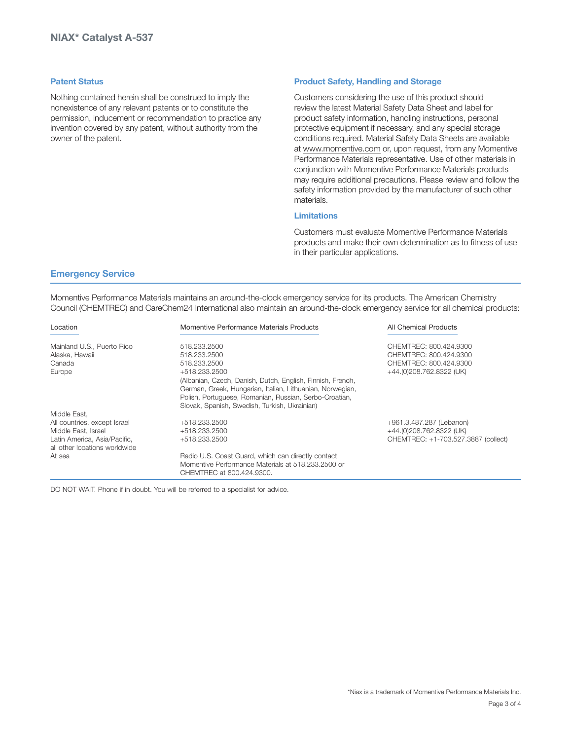#### **Patent Status**

Nothing contained herein shall be construed to imply the nonexistence of any relevant patents or to constitute the permission, inducement or recommendation to practice any invention covered by any patent, without authority from the owner of the patent.

#### **Product Safety, Handling and Storage**

Customers considering the use of this product should review the latest Material Safety Data Sheet and label for product safety information, handling instructions, personal protective equipment if necessary, and any special storage conditions required. Material Safety Data Sheets are available at www.momentive.com or, upon request, from any Momentive Performance Materials representative. Use of other materials in conjunction with Momentive Performance Materials products may require additional precautions. Please review and follow the safety information provided by the manufacturer of such other materials.

# **Limitations**

Customers must evaluate Momentive Performance Materials products and make their own determination as to fitness of use in their particular applications.

### **Emergency Service**

Momentive Performance Materials maintains an around-the-clock emergency service for its products. The American Chemistry Council (CHEMTREC) and CareChem24 International also maintain an around-the-clock emergency service for all chemical products:

| Location                                                      | Momentive Performance Materials Products                                                                                                                                                                                                            | <b>All Chemical Products</b>        |
|---------------------------------------------------------------|-----------------------------------------------------------------------------------------------------------------------------------------------------------------------------------------------------------------------------------------------------|-------------------------------------|
| Mainland U.S., Puerto Rico                                    | 518.233.2500                                                                                                                                                                                                                                        | CHEMTREC: 800.424.9300              |
| Alaska, Hawaii                                                | 518.233.2500                                                                                                                                                                                                                                        | CHEMTREC: 800.424.9300              |
| Canada                                                        | 518.233.2500                                                                                                                                                                                                                                        | CHEMTREC: 800.424.9300              |
| Europe                                                        | +518.233.2500<br>(Albanian, Czech, Danish, Dutch, English, Finnish, French,<br>German, Greek, Hungarian, Italian, Lithuanian, Norwegian,<br>Polish, Portuguese, Romanian, Russian, Serbo-Croatian,<br>Slovak, Spanish, Swedish, Turkish, Ukrainian) | +44.(0)208.762.8322 (UK)            |
| Middle East.                                                  |                                                                                                                                                                                                                                                     |                                     |
| All countries, except Israel                                  | +518.233.2500                                                                                                                                                                                                                                       | +961.3.487.287 (Lebanon)            |
| Middle East, Israel                                           | +518.233.2500                                                                                                                                                                                                                                       | +44.(0)208.762.8322 (UK)            |
| Latin America, Asia/Pacific,<br>all other locations worldwide | +518.233.2500                                                                                                                                                                                                                                       | CHEMTREC: +1-703.527.3887 (collect) |
| At sea                                                        | Radio U.S. Coast Guard, which can directly contact                                                                                                                                                                                                  |                                     |
|                                                               | Momentive Performance Materials at 518.233.2500 or                                                                                                                                                                                                  |                                     |
|                                                               | CHEMTREC at 800 424 9300.                                                                                                                                                                                                                           |                                     |

DO NOT WAIT. Phone if in doubt. You will be referred to a specialist for advice.